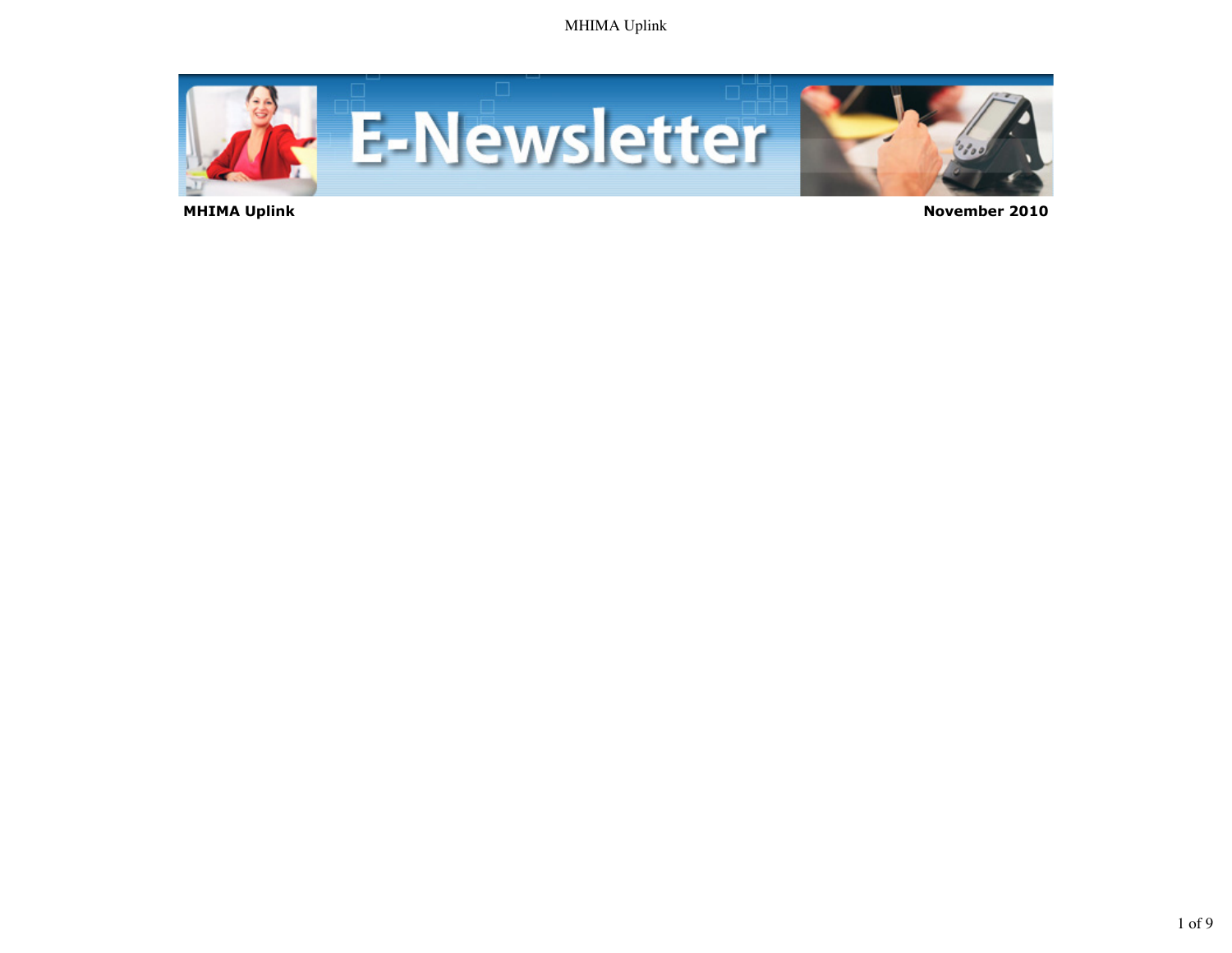

 **MHIMA Uplink November 2010**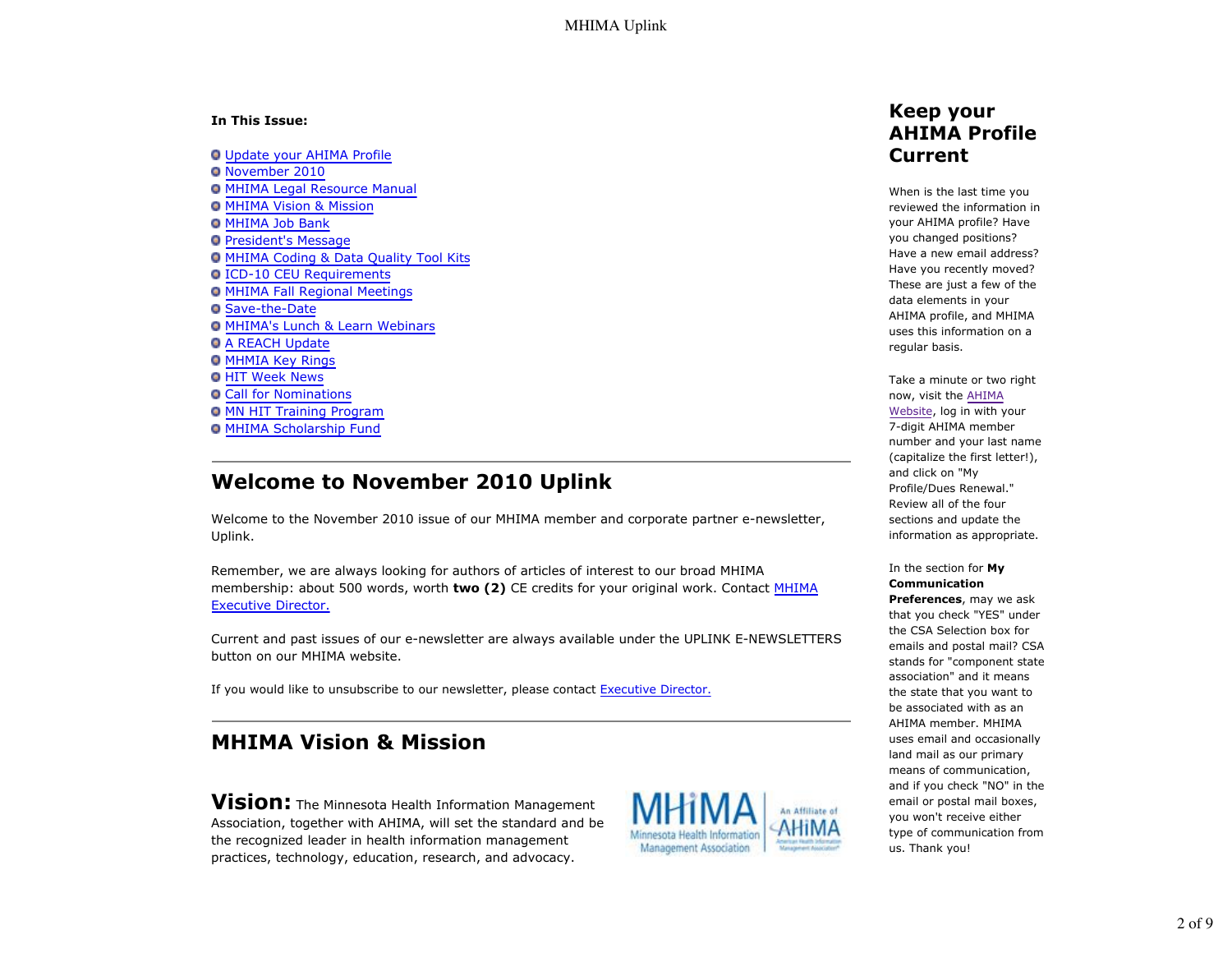#### **In This Issue:**

Update your AHIMA Profile November 2010 **O MHIMA Legal Resource Manual** MHIMA Vision & Mission **O** MHIMA Job Bank **President's Message** MHIMA Coding & Data Quality Tool Kits ICD-10 CEU Requirements MHIMA Fall Regional Meetings Save-the-Date MHIMA's Lunch & Learn Webinars **O A REACH Update O MHMIA Key Rings O HIT Week News O Call for Nominations** MN HIT Training Program **O MHIMA Scholarship Fund** 

## **Welcome to November 2010 Uplink**

Welcome to the November 2010 issue of our MHIMA member and corporate partner e-newsletter, Uplink.

Remember, we are always looking for authors of articles of interest to our broad MHIMA membership: about 500 words, worth **two (2)** CE credits for your original work. Contact MHIMA Executive Director.

Current and past issues of our e-newsletter are always available under the UPLINK E-NEWSLETTERS button on our MHIMA website.

If you would like to unsubscribe to our newsletter, please contact Executive Director.

# **MHIMA Vision & Mission**

**Vision:** The Minnesota Health Information Management Association, together with AHIMA, will set the standard and be the recognized leader in health information management practices, technology, education, research, and advocacy.



### **Keep your AHIMA Profile Current**

When is the last time you reviewed the information in your AHIMA profile? Have you changed positions? Have a new email address? Have you recently moved? These are just a few of the data elements in your AHIMA profile, and MHIMA uses this information on a regular basis.

Take a minute or two right now, visit the AHIMA Website, log in with your 7-digit AHIMA member number and your last name (capitalize the first letter!), and click on "My Profile/Dues Renewal." Review all of the four sections and update the information as appropriate.

In the section for **My Communication**

**Preferences**, may we ask that you check "YES" under the CSA Selection box for emails and postal mail? CSA stands for "component state association" and it means the state that you want to be associated with as an AHIMA member. MHIMA uses email and occasionally land mail as our primary means of communication, and if you check "NO" in the email or postal mail boxes, you won't receive either type of communication from us. Thank you!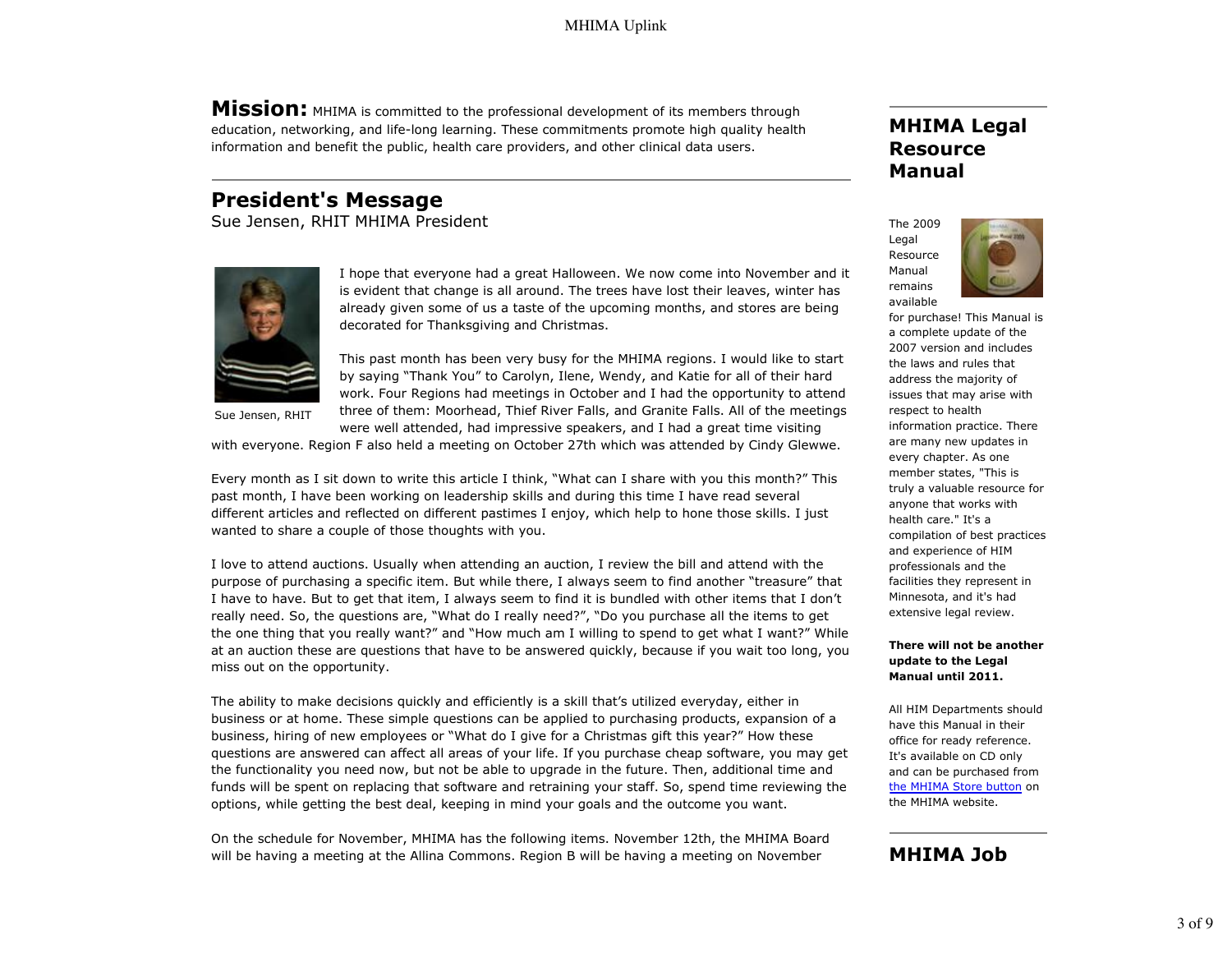**Mission:** MHIMA is committed to the professional development of its members through education, networking, and life-long learning. These commitments promote high quality health information and benefit the public, health care providers, and other clinical data users.

## **President's Message**

Sue Jensen, RHIT MHIMA President



I hope that everyone had a great Halloween. We now come into November and it is evident that change is all around. The trees have lost their leaves, winter has already given some of us a taste of the upcoming months, and stores are being decorated for Thanksgiving and Christmas.

This past month has been very busy for the MHIMA regions. I would like to start by saying "Thank You" to Carolyn, Ilene, Wendy, and Katie for all of their hard work. Four Regions had meetings in October and I had the opportunity to attend three of them: Moorhead, Thief River Falls, and Granite Falls. All of the meetings were well attended, had impressive speakers, and I had a great time visiting

Sue Jensen, RHIT

with everyone. Region F also held a meeting on October 27th which was attended by Cindy Glewwe.

Every month as I sit down to write this article I think, "What can I share with you this month?" This past month, I have been working on leadership skills and during this time I have read several different articles and reflected on different pastimes I enjoy, which help to hone those skills. I just wanted to share a couple of those thoughts with you.

I love to attend auctions. Usually when attending an auction, I review the bill and attend with the purpose of purchasing a specific item. But while there, I always seem to find another "treasure" that I have to have. But to get that item, I always seem to find it is bundled with other items that I don't really need. So, the questions are, "What do I really need?", "Do you purchase all the items to get the one thing that you really want?" and "How much am I willing to spend to get what I want?" While at an auction these are questions that have to be answered quickly, because if you wait too long, you miss out on the opportunity.

The ability to make decisions quickly and efficiently is a skill that's utilized everyday, either in business or at home. These simple questions can be applied to purchasing products, expansion of a business, hiring of new employees or "What do I give for a Christmas gift this year?" How these questions are answered can affect all areas of your life. If you purchase cheap software, you may get the functionality you need now, but not be able to upgrade in the future. Then, additional time and funds will be spent on replacing that software and retraining your staff. So, spend time reviewing the options, while getting the best deal, keeping in mind your goals and the outcome you want.

On the schedule for November, MHIMA has the following items. November 12th, the MHIMA Board will be having a meeting at the Allina Commons. Region B will be having a meeting on November

## **MHIMA Legal Resource Manual**

The 2009 Legal Resource Manual remains available



for purchase! This Manual is a complete update of the 2007 version and includes the laws and rules that address the majority of issues that may arise with respect to health information practice. There are many new updates in every chapter. As one member states, "This is truly a valuable resource for anyone that works with health care." It's a compilation of best practices and experience of HIM professionals and the facilities they represent in Minnesota, and it's had extensive legal review.

#### **There will not be another update to the Legal Manual until 2011.**

All HIM Departments should have this Manual in their office for ready reference. It's available on CD only and can be purchased from the MHIMA Store button on the MHIMA website.

#### **MHIMA Job**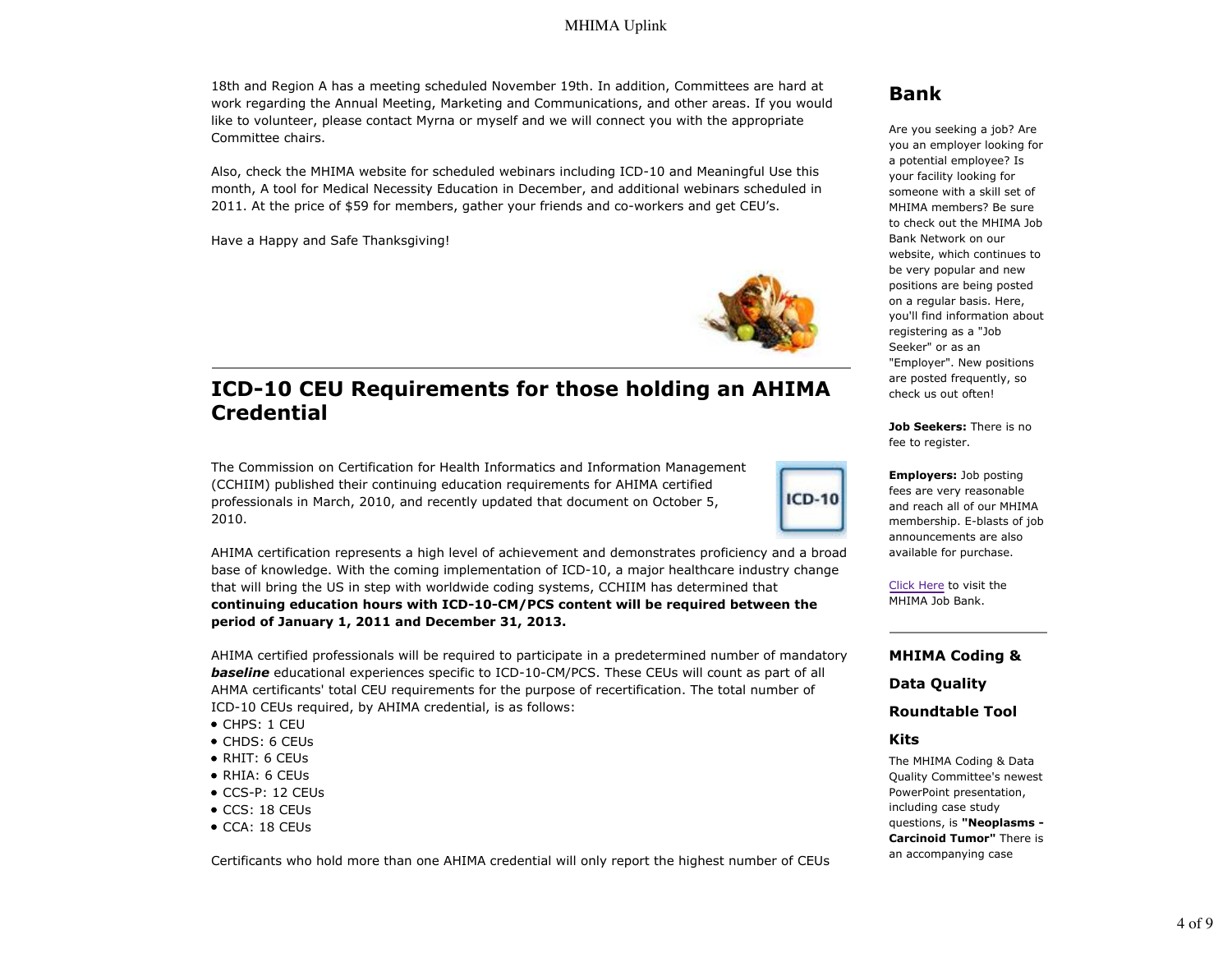18th and Region A has a meeting scheduled November 19th. In addition, Committees are hard at work regarding the Annual Meeting, Marketing and Communications, and other areas. If you would like to volunteer, please contact Myrna or myself and we will connect you with the appropriate Committee chairs.

Also, check the MHIMA website for scheduled webinars including ICD-10 and Meaningful Use this month, A tool for Medical Necessity Education in December, and additional webinars scheduled in 2011. At the price of \$59 for members, gather your friends and co-workers and get CEU's.

Have a Happy and Safe Thanksgiving!



**ICD-10** 

# **ICD-10 CEU Requirements for those holding an AHIMA Credential**

The Commission on Certification for Health Informatics and Information Management (CCHIIM) published their continuing education requirements for AHIMA certified professionals in March, 2010, and recently updated that document on October 5, 2010.

AHIMA certification represents a high level of achievement and demonstrates proficiency and a broad base of knowledge. With the coming implementation of ICD-10, a major healthcare industry change that will bring the US in step with worldwide coding systems, CCHIIM has determined that **continuing education hours with ICD-10-CM/PCS content will be required between the period of January 1, 2011 and December 31, 2013.**

AHIMA certified professionals will be required to participate in a predetermined number of mandatory **baseline** educational experiences specific to ICD-10-CM/PCS. These CEUs will count as part of all AHMA certificants' total CEU requirements for the purpose of recertification. The total number of ICD-10 CEUs required, by AHIMA credential, is as follows:

- CHPS: 1 CEU
- CHDS: 6 CEUs
- RHIT: 6 CEUs
- RHIA: 6 CEUs
- CCS-P: 12 CEUs
- CCS: 18 CEUs
- CCA: 18 CEUs

Certificants who hold more than one AHIMA credential will only report the highest number of CEUs

### **Bank**

Are you seeking a job? Are you an employer looking for a potential employee? Is your facility looking for someone with a skill set of MHIMA members? Be sure to check out the MHIMA Job Bank Network on our website, which continues to be very popular and new positions are being posted on a regular basis. Here, you'll find information about registering as a "Job Seeker" or as an "Employer". New positions are posted frequently, so check us out often!

**Job Seekers:** There is no fee to register.

**Employers:** Job posting fees are very reasonable and reach all of our MHIMA membership. E-blasts of job announcements are also available for purchase.

Click Here to visit the MHIMA Job Bank.

#### **MHIMA Coding &**

**Data Quality**

**Roundtable Tool**

#### **Kits**

The MHIMA Coding & Data Quality Committee's newest PowerPoint presentation, including case study questions, is **"Neoplasms - Carcinoid Tumor"** There is an accompanying case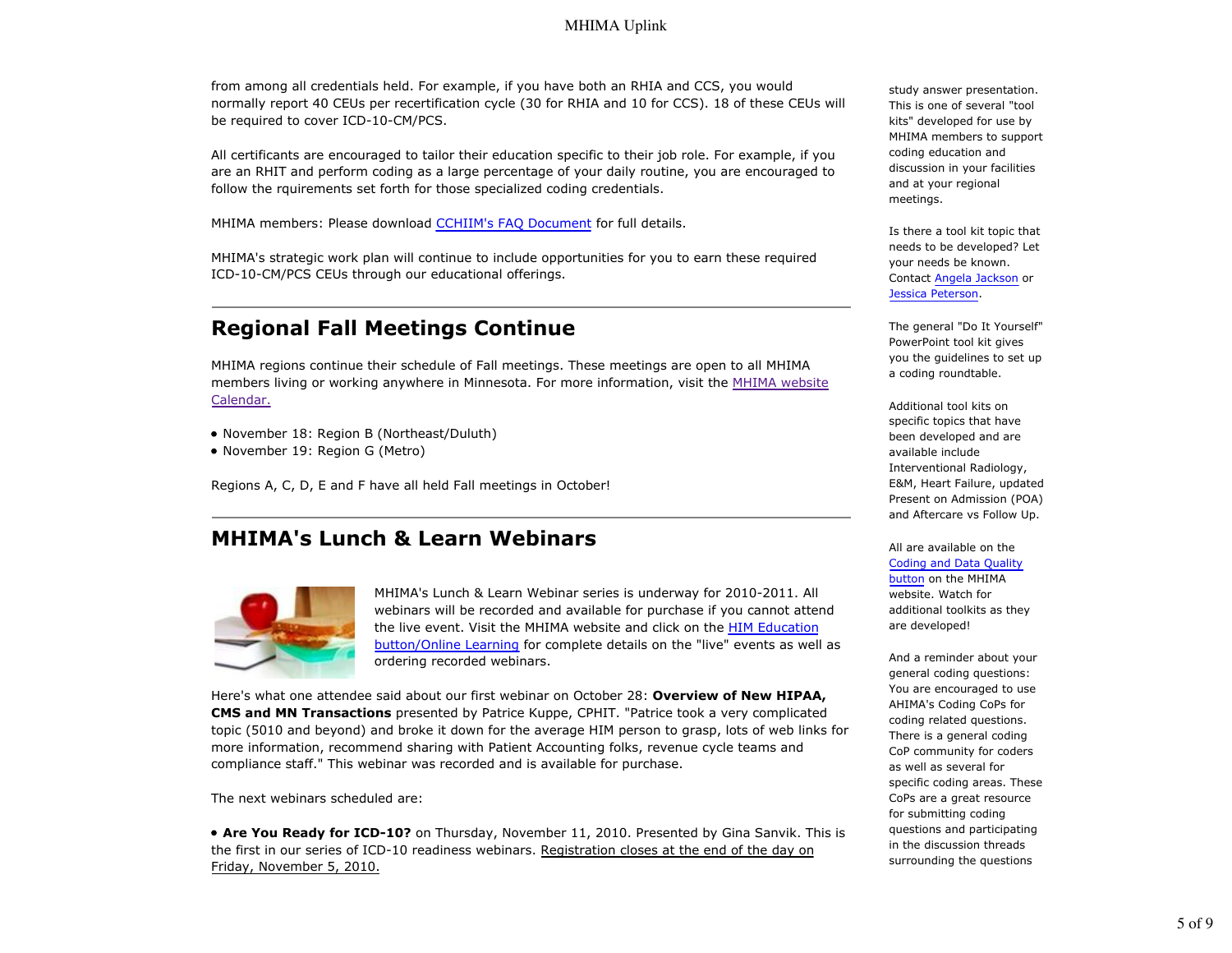from among all credentials held. For example, if you have both an RHIA and CCS, you would normally report 40 CEUs per recertification cycle (30 for RHIA and 10 for CCS). 18 of these CEUs will be required to cover ICD-10-CM/PCS.

All certificants are encouraged to tailor their education specific to their job role. For example, if you are an RHIT and perform coding as a large percentage of your daily routine, you are encouraged to follow the rquirements set forth for those specialized coding credentials.

MHIMA members: Please download CCHIIM's FAQ Document for full details.

MHIMA's strategic work plan will continue to include opportunities for you to earn these required ICD-10-CM/PCS CEUs through our educational offerings.

# **Regional Fall Meetings Continue**

MHIMA regions continue their schedule of Fall meetings. These meetings are open to all MHIMA members living or working anywhere in Minnesota. For more information, visit the MHIMA website Calendar.

- November 18: Region B (Northeast/Duluth)
- November 19: Region G (Metro)

Regions A, C, D, E and F have all held Fall meetings in October!

## **MHIMA's Lunch & Learn Webinars**



MHIMA's Lunch & Learn Webinar series is underway for 2010-2011. All webinars will be recorded and available for purchase if you cannot attend the live event. Visit the MHIMA website and click on the HIM Education button/Online Learning for complete details on the "live" events as well as ordering recorded webinars.

Here's what one attendee said about our first webinar on October 28: **Overview of New HIPAA, CMS and MN Transactions** presented by Patrice Kuppe, CPHIT. "Patrice took a very complicated topic (5010 and beyond) and broke it down for the average HIM person to grasp, lots of web links for more information, recommend sharing with Patient Accounting folks, revenue cycle teams and compliance staff." This webinar was recorded and is available for purchase.

The next webinars scheduled are:

**Are You Ready for ICD-10?** on Thursday, November 11, 2010. Presented by Gina Sanvik. This is the first in our series of ICD-10 readiness webinars. Registration closes at the end of the day on Friday, November 5, 2010.

study answer presentation. This is one of several "tool kits" developed for use by MHIMA members to support coding education and discussion in your facilities and at your regional meetings.

Is there a tool kit topic that needs to be developed? Let your needs be known. Contact Angela Jackson or Jessica Peterson.

The general "Do It Yourself" PowerPoint tool kit gives you the guidelines to set up a coding roundtable.

Additional tool kits on specific topics that have been developed and are available include Interventional Radiology, E&M, Heart Failure, updated Present on Admission (POA) and Aftercare vs Follow Up.

All are available on the Coding and Data Quality button on the MHIMA website. Watch for additional toolkits as they are developed!

And a reminder about your general coding questions: You are encouraged to use AHIMA's Coding CoPs for coding related questions. There is a general coding CoP community for coders as well as several for specific coding areas. These CoPs are a great resource for submitting coding questions and participating in the discussion threads surrounding the questions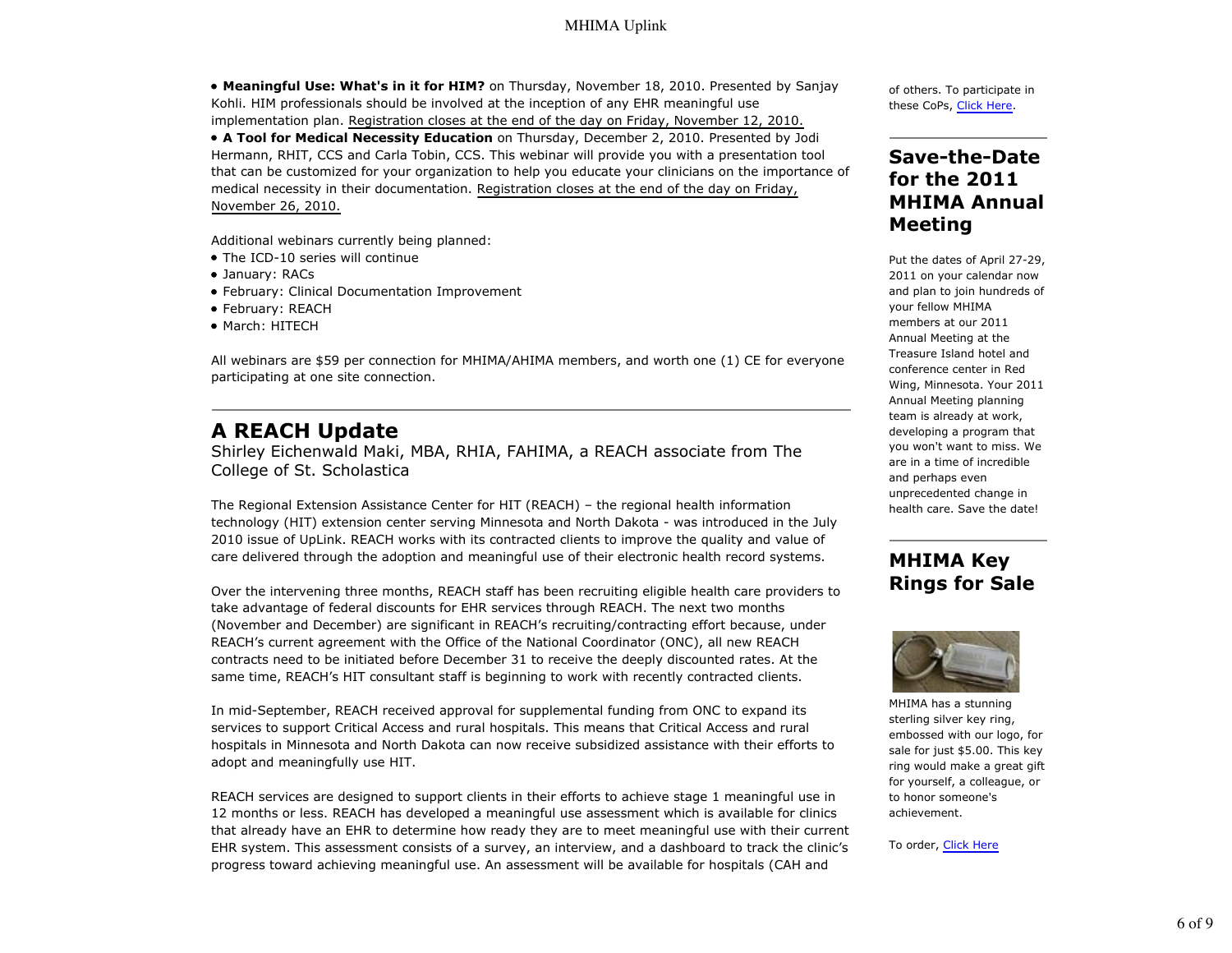**Meaningful Use: What's in it for HIM?** on Thursday, November 18, 2010. Presented by Sanjay Kohli. HIM professionals should be involved at the inception of any EHR meaningful use implementation plan. Registration closes at the end of the day on Friday, November 12, 2010. **A Tool for Medical Necessity Education** on Thursday, December 2, 2010. Presented by Jodi Hermann, RHIT, CCS and Carla Tobin, CCS. This webinar will provide you with a presentation tool that can be customized for your organization to help you educate your clinicians on the importance of medical necessity in their documentation. Registration closes at the end of the day on Friday, November 26, 2010.

Additional webinars currently being planned:

- The ICD-10 series will continue
- January: RACs
- February: Clinical Documentation Improvement
- February: REACH
- March: HITECH

All webinars are \$59 per connection for MHIMA/AHIMA members, and worth one (1) CE for everyone participating at one site connection.

### **A REACH Update**

Shirley Eichenwald Maki, MBA, RHIA, FAHIMA, a REACH associate from The College of St. Scholastica

The Regional Extension Assistance Center for HIT (REACH) – the regional health information technology (HIT) extension center serving Minnesota and North Dakota - was introduced in the July 2010 issue of UpLink. REACH works with its contracted clients to improve the quality and value of care delivered through the adoption and meaningful use of their electronic health record systems.

Over the intervening three months, REACH staff has been recruiting eligible health care providers to take advantage of federal discounts for EHR services through REACH. The next two months (November and December) are significant in REACH's recruiting/contracting effort because, under REACH's current agreement with the Office of the National Coordinator (ONC), all new REACH contracts need to be initiated before December 31 to receive the deeply discounted rates. At the same time, REACH's HIT consultant staff is beginning to work with recently contracted clients.

In mid-September, REACH received approval for supplemental funding from ONC to expand its services to support Critical Access and rural hospitals. This means that Critical Access and rural hospitals in Minnesota and North Dakota can now receive subsidized assistance with their efforts to adopt and meaningfully use HIT.

REACH services are designed to support clients in their efforts to achieve stage 1 meaningful use in 12 months or less. REACH has developed a meaningful use assessment which is available for clinics that already have an EHR to determine how ready they are to meet meaningful use with their current EHR system. This assessment consists of a survey, an interview, and a dashboard to track the clinic's progress toward achieving meaningful use. An assessment will be available for hospitals (CAH and

of others. To participate in these CoPs, Click Here.

### **Save-the-Date for the 2011 MHIMA Annual Meeting**

Put the dates of April 27-29, 2011 on your calendar now and plan to join hundreds of your fellow MHIMA members at our 2011 Annual Meeting at the Treasure Island hotel and conference center in Red Wing, Minnesota. Your 2011 Annual Meeting planning team is already at work, developing a program that you won't want to miss. We are in a time of incredible and perhaps even unprecedented change in health care. Save the date!

## **MHIMA Key Rings for Sale**



MHIMA has a stunning sterling silver key ring, embossed with our logo, for sale for just \$5.00. This key ring would make a great gift for yourself, a colleague, or to honor someone's achievement.

#### To order, Click Here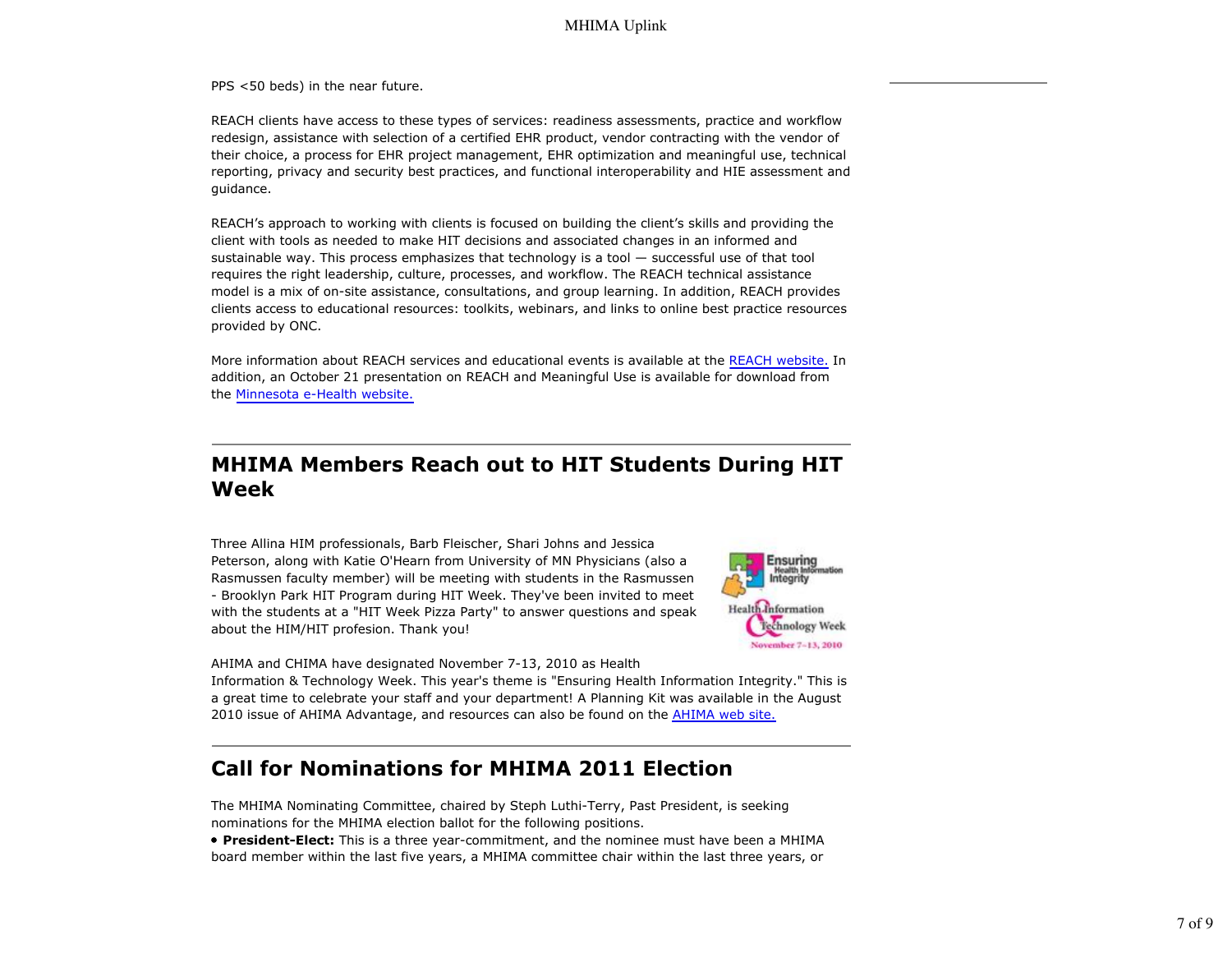PPS <50 beds) in the near future.

REACH clients have access to these types of services: readiness assessments, practice and workflow redesign, assistance with selection of a certified EHR product, vendor contracting with the vendor of their choice, a process for EHR project management, EHR optimization and meaningful use, technical reporting, privacy and security best practices, and functional interoperability and HIE assessment and guidance.

REACH's approach to working with clients is focused on building the client's skills and providing the client with tools as needed to make HIT decisions and associated changes in an informed and sustainable way. This process emphasizes that technology is a tool — successful use of that tool requires the right leadership, culture, processes, and workflow. The REACH technical assistance model is a mix of on-site assistance, consultations, and group learning. In addition, REACH provides clients access to educational resources: toolkits, webinars, and links to online best practice resources provided by ONC.

More information about REACH services and educational events is available at the REACH website. In addition, an October 21 presentation on REACH and Meaningful Use is available for download from the Minnesota e-Health website.

## **MHIMA Members Reach out to HIT Students During HIT Week**

Three Allina HIM professionals, Barb Fleischer, Shari Johns and Jessica Peterson, along with Katie O'Hearn from University of MN Physicians (also a Rasmussen faculty member) will be meeting with students in the Rasmussen - Brooklyn Park HIT Program during HIT Week. They've been invited to meet with the students at a "HIT Week Pizza Party" to answer questions and speak about the HIM/HIT profesion. Thank you!



AHIMA and CHIMA have designated November 7-13, 2010 as Health

Information & Technology Week. This year's theme is "Ensuring Health Information Integrity." This is a great time to celebrate your staff and your department! A Planning Kit was available in the August 2010 issue of AHIMA Advantage, and resources can also be found on the **AHIMA** web site.

# **Call for Nominations for MHIMA 2011 Election**

The MHIMA Nominating Committee, chaired by Steph Luthi-Terry, Past President, is seeking nominations for the MHIMA election ballot for the following positions.

**President-Elect:** This is a three year-commitment, and the nominee must have been a MHIMA board member within the last five years, a MHIMA committee chair within the last three years, or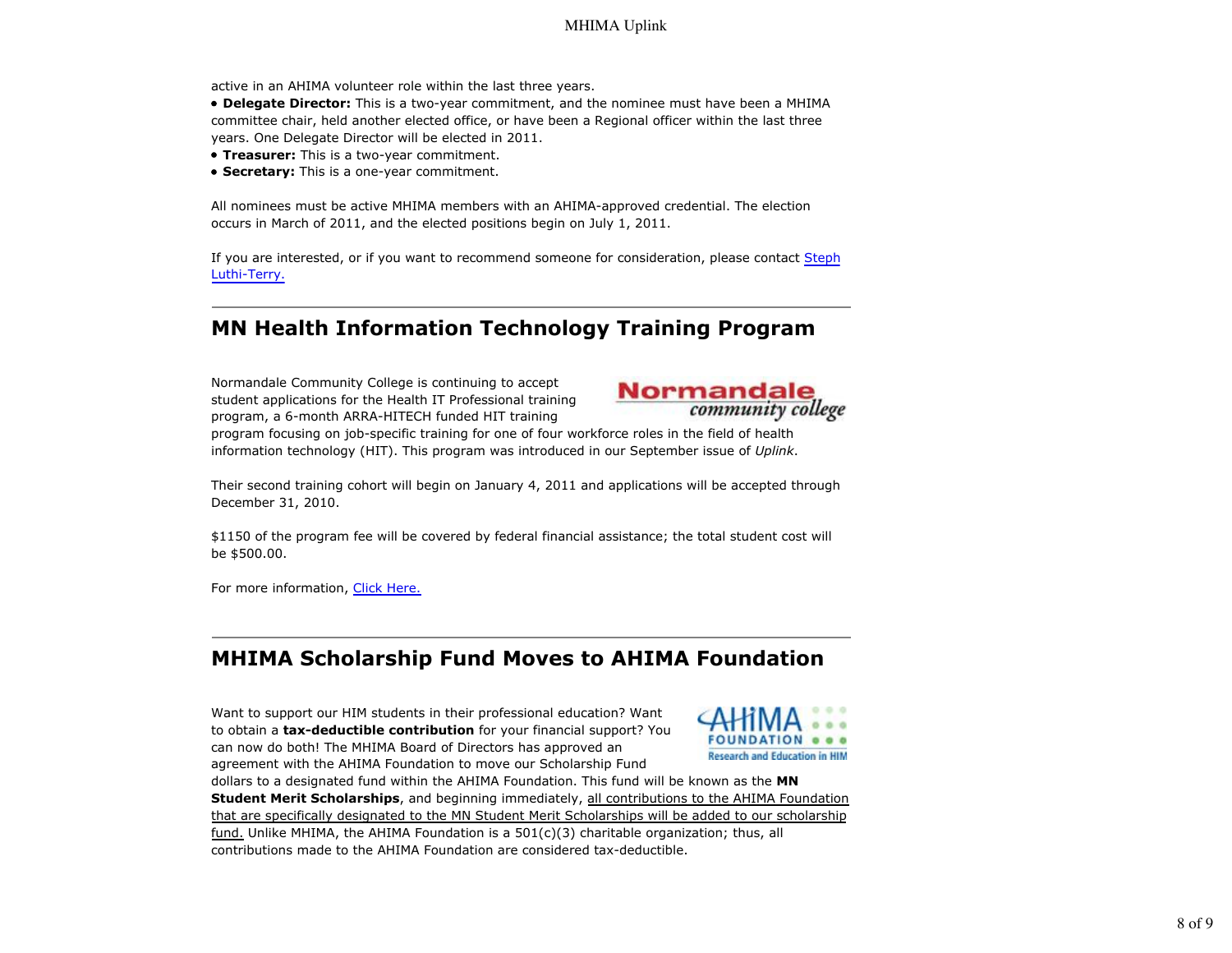active in an AHIMA volunteer role within the last three years.

**Delegate Director:** This is a two-year commitment, and the nominee must have been a MHIMA committee chair, held another elected office, or have been a Regional officer within the last three years. One Delegate Director will be elected in 2011.

- **Treasurer:** This is a two-year commitment.
- **Secretary:** This is a one-year commitment.

All nominees must be active MHIMA members with an AHIMA-approved credential. The election occurs in March of 2011, and the elected positions begin on July 1, 2011.

If you are interested, or if you want to recommend someone for consideration, please contact Steph Luthi-Terry.

# **MN Health Information Technology Training Program**

Normandale Community College is continuing to accept student applications for the Health IT Professional training program, a 6-month ARRA-HITECH funded HIT training



program focusing on job-specific training for one of four workforce roles in the field of health information technology (HIT). This program was introduced in our September issue of *Uplink*.

Their second training cohort will begin on January 4, 2011 and applications will be accepted through December 31, 2010.

\$1150 of the program fee will be covered by federal financial assistance; the total student cost will be \$500.00.

For more information, Click Here.

# **MHIMA Scholarship Fund Moves to AHIMA Foundation**

Want to support our HIM students in their professional education? Want to obtain a **tax-deductible contribution** for your financial support? You can now do both! The MHIMA Board of Directors has approved an agreement with the AHIMA Foundation to move our Scholarship Fund



dollars to a designated fund within the AHIMA Foundation. This fund will be known as the **MN Student Merit Scholarships**, and beginning immediately, all contributions to the AHIMA Foundation that are specifically designated to the MN Student Merit Scholarships will be added to our scholarship fund. Unlike MHIMA, the AHIMA Foundation is a  $501(c)(3)$  charitable organization; thus, all contributions made to the AHIMA Foundation are considered tax-deductible.